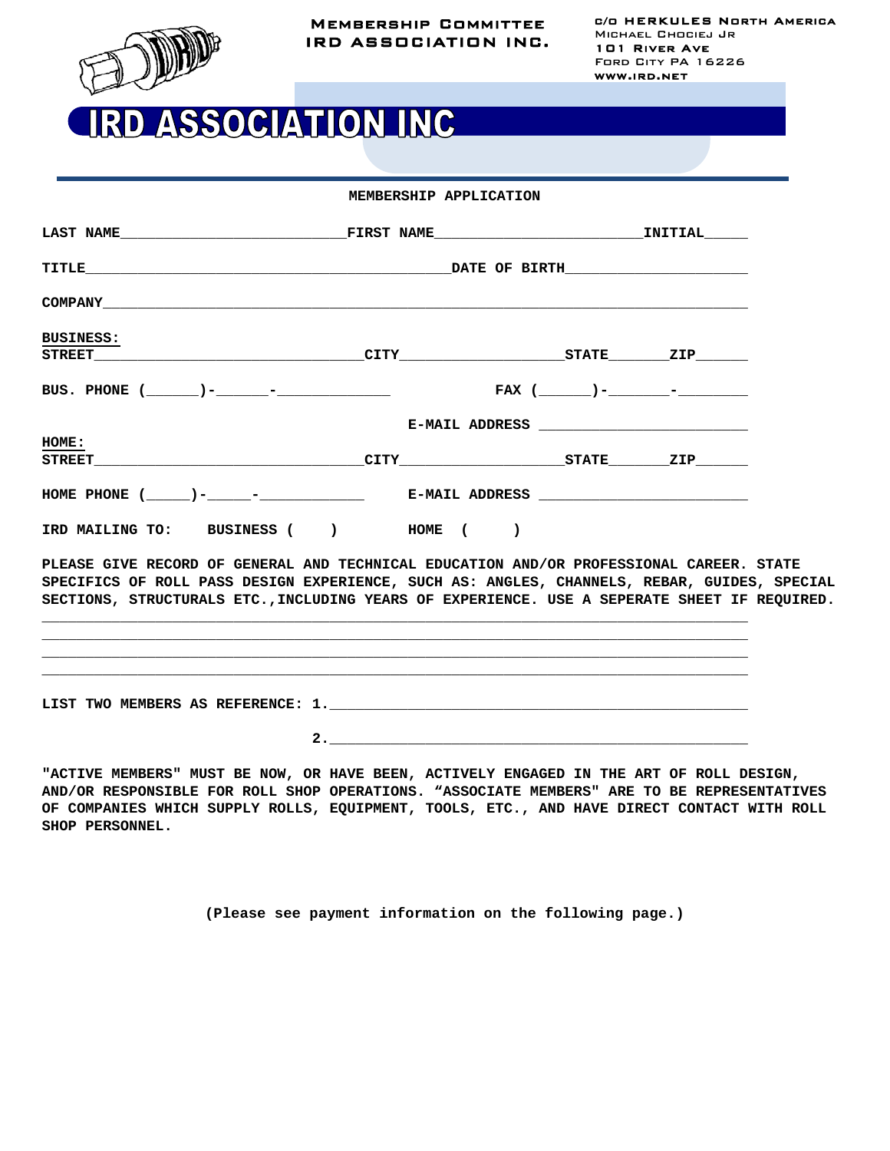

## RD ASSOCIATION INC

| <b>BUSINESS:</b>                                                                                                                                                                                                                                                                       |  |  |  |  |  |
|----------------------------------------------------------------------------------------------------------------------------------------------------------------------------------------------------------------------------------------------------------------------------------------|--|--|--|--|--|
|                                                                                                                                                                                                                                                                                        |  |  |  |  |  |
|                                                                                                                                                                                                                                                                                        |  |  |  |  |  |
|                                                                                                                                                                                                                                                                                        |  |  |  |  |  |
| HOME:                                                                                                                                                                                                                                                                                  |  |  |  |  |  |
|                                                                                                                                                                                                                                                                                        |  |  |  |  |  |
|                                                                                                                                                                                                                                                                                        |  |  |  |  |  |
| IRD MAILING TO: BUSINESS ( ) HOME ( )                                                                                                                                                                                                                                                  |  |  |  |  |  |
| PLEASE GIVE RECORD OF GENERAL AND TECHNICAL EDUCATION AND/OR PROFESSIONAL CAREER. STATE<br>SPECIFICS OF ROLL PASS DESIGN EXPERIENCE, SUCH AS: ANGLES, CHANNELS, REBAR, GUIDES, SPECIAL<br>SECTIONS, STRUCTURALS ETC., INCLUDING YEARS OF EXPERIENCE. USE A SEPERATE SHEET IF REQUIRED. |  |  |  |  |  |
|                                                                                                                                                                                                                                                                                        |  |  |  |  |  |
|                                                                                                                                                                                                                                                                                        |  |  |  |  |  |
|                                                                                                                                                                                                                                                                                        |  |  |  |  |  |

**"ACTIVE MEMBERS" MUST BE NOW, OR HAVE BEEN, ACTIVELY ENGAGED IN THE ART OF ROLL DESIGN, AND/OR RESPONSIBLE FOR ROLL SHOP OPERATIONS. "ASSOCIATE MEMBERS" ARE TO BE REPRESENTATIVES OF COMPANIES WHICH SUPPLY ROLLS, EQUIPMENT, TOOLS, ETC., AND HAVE DIRECT CONTACT WITH ROLL SHOP PERSONNEL.**

**(Please see payment information on the following page.)**